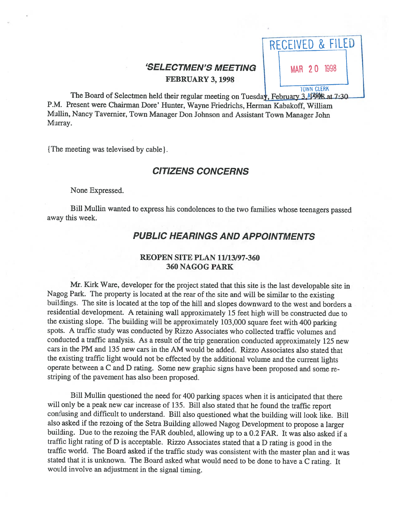

P.M. Present were Chairman Dore' Hunter, Wayne Friedrichs, Herman Kabakoff, William Mullin, Nancy Tavernier, Town Manager Don Johnson and Assistant Town Manager John Murray.

The meeting was televised by cable].

# CITIZENS CONCERNS

None Expressed.

Bill Mullin wanted to express his condolences to the two families whose teenagers passed away this week.

# PUBLIC HEARINGS AND APPOINTMENTS

#### REOPEN SITE PLAN 11/13/97-360 360 NAGOG PARK

Mr. Kirk Ware, developer for the project stated that this site is the last developable site in Nagog Park. The property is located at the rear of the site and will be similar to the existing buildings. The site is located at the top of the hill and slopes downward to the west and borders <sup>a</sup> residential development. <sup>A</sup> retaining wall approximately <sup>15</sup> feet high will be constructed due to the existing slope. The building will be approximately 103,000 square feet with <sup>400</sup> parking spots. <sup>A</sup> traffic study was conducted by Rizzo Associates who collected traffic volumes and conducted <sup>a</sup> traffic analysis. As <sup>a</sup> result of the trip generation conducted approximately <sup>125</sup> new cars in the PM and 135 new cars in the AM would be added. Rizzo Associates also stated that the existing traffic light would not be effected by the additional volume and the current lights operate between <sup>a</sup> <sup>C</sup> and <sup>D</sup> rating. Some new graphic signs have been proposed and some re striping of the pavement has also been proposed.

Bill Mullin questioned the need for <sup>400</sup> parking spaces when it is anticipated that there will only be <sup>a</sup> peak new car increase of 135. Bill also stated that he found the traffic report confusing and difficult to understand. Bill also questioned what the building will look like. Bill also asked if the rezoing of the Setra Building allowed Nagog Development to propose <sup>a</sup> larger building. Due to the rezoing the FAR doubled, allowing up to <sup>a</sup> 0.2 FAR. It was also asked if <sup>a</sup> traffic light rating of <sup>D</sup> is acceptable. Rizzo Associates stated that <sup>a</sup> <sup>D</sup> rating is good in the traffic world. The Board asked if the traffic study was consistent with the master <sup>p</sup>lan and it was stated that it is unknown. The Board asked what would need to be done to have <sup>a</sup> <sup>C</sup> rating. It would involve an adjustment in the signal timing.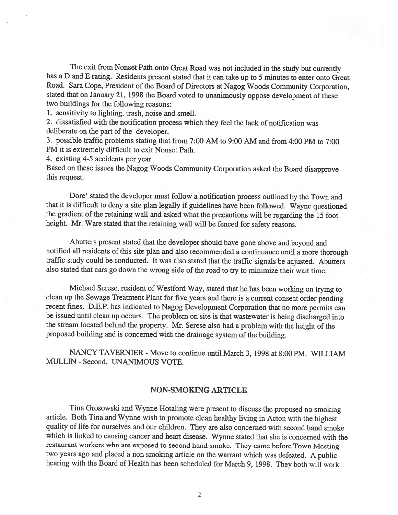The exit from Nonset Path onto Great Road was not included in the study but currently has <sup>a</sup> <sup>D</sup> and <sup>E</sup> rating. Residents present stated that it can take up to <sup>5</sup> minutes to enter onto Great Road. Sara Cope, President of the Board of Directors at Nagog Woods Community Corporation, stated that on January 21, <sup>1998</sup> the Board voted to unanimously oppose development of these two buildings for the following reasons:

1. sensitivity to lighting, trash, noise and smell.

2. dissatisfied with the notification process which they feel the lack of notification was deliberate on the part of the developer.

3. possible traffic problems stating that from 7:00 AM to 9:00 AM and from 4:00 PM to 7:00 PM it is extremely difficult to exit Nonset Path.

4. existing 4-5 accidents per year

Based on these issues the Nagog Woods Community Corporation asked the Board disapprove this request.

Dore' stated the developer must follow <sup>a</sup> notification process outlined by the Town and that it is difficult to deny <sup>a</sup> site <sup>p</sup>lan legally if guidelines have been followed. Wayne questioned the gradient of the retaining wall and asked what the precautions will be regarding the <sup>15</sup> foot height. Mr. Ware stated that the retaining wall will be fenced for safety reasons.

Abutters present stated that the developer should have gone above and beyond and notified all residents of this site <sup>p</sup>lan and also recommended <sup>a</sup> continuance until <sup>a</sup> more thorough traffic study could be conducted. It was also stated that the traffic signals be adjusted. Abutters also stated that cars go down the wrong side of the road to try to minimize their wait time.

Michael Serese, resident of Westford Way, stated that he has been working on trying to clean up the Sewage Treatment Plant for five years and there is <sup>a</sup> current consent order pending recent fines. D.E.P. has indicated to Nagog Development Corporation that no more permits can be issued until clean up occurs. The problem on site is that wastewater is being discharged into the stream located behind the property. Mr. Serese also had <sup>a</sup> problem with the height of the proposed building and is concerned with the drainage system of the building.

NANCY TAVERNIER - Move to continue until March 3, 1998 at 8:00 PM. WILLIAM MULUN -Second. UNANIMOUS VOTE.

#### NON-SMOKING ARTICLE

Tina Grosowski and Wynne Hotaling were present to discuss the proposed no smoking article. Both Tina and Wynne wish to promote clean healthy living in Acton with the highest quality of life for ourselves and our children. They are also concerned with second hand smoke which is linked to causing cancer and heart disease. Wynne stated that she is concerned with the restaurant workers who are exposed to second hand smoke. They came before Town Meeting two years ago and <sup>p</sup>laced <sup>a</sup> non smoking article on the warrant which was defeated. <sup>A</sup> public hearing with the Board of Health has been scheduled for March 9, 1998. They both will work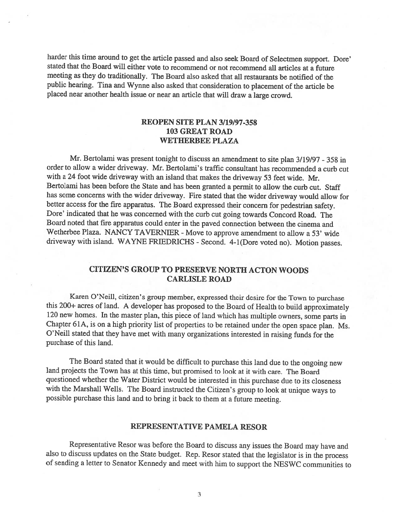harder this time around to get the article passed and also seek Board of Selectmen support. Dore' stated that the Board wifi either vote to recommend or not recommend all articles at <sup>a</sup> future meeting as they do traditionally. The Board also asked that all restaurants be notified of the public hearing. Tina and Wynne also asked that consideration to <sup>p</sup>lacement of the article be placed near another health issue or near an article that will draw a large crowd.

### REOPEN SITE PLAN 3/19/97-358 103 GREAT ROAD WETHERBEE PLAZA

Mr. Bertolami was present tonight to discuss an amendment to site plan  $3/19/97$  - 358 in order to allow <sup>a</sup> wider driveway. Mr. Bertolami's traffic consultant has recommended <sup>a</sup> curb cut with <sup>a</sup> <sup>24</sup> foot wide driveway with an island that makes the driveway <sup>53</sup> feet wide. Mr. Bertolami has been before the State and has been granted <sup>a</sup> permit to allow the curb cut. Staff has some concerns with the wider driveway. Fire stated that the wider driveway would allow for better access for the fire apparatus. The Board expressed their concern for pedestrian safety. Dore' indicated that he was concerned with the curb cut going towards Concord Road. The Board noted that fire apparatus could enter in the paved connection between the cinema and Wetherbee Plaza. NANCY TAVERNIER - Move to approve amendment to allow a 53' wide driveway with island. WAYNE FRIEDRICHS - Second. 4-1(Dore voted no). Motion passes.

## CITIZEN'S GROUP TO PRESERVE NORTH ACTON WOODS CARLISLE ROAD

Karen O'Neill, citizen's group member, expressed their desire for the Town to purchase this 200+ acres of land. <sup>A</sup> developer has proposed to the Board of Health to build approximately <sup>120</sup> new homes. In the master <sup>p</sup>lan, this <sup>p</sup>iece of land which has multiple owners, some parts in Chapter 61A, is on <sup>a</sup> high priority list of properties to be retained under the open space <sup>p</sup>lan. Ms. O'Neill stated that they have met with many organizations interested in raising funds for the purchase of this land.

The Board stated that it would be difficult to purchase this land due to the ongoing new land projects the Town has at this time, but promised to look at it with care. The Board questioned whether the Water District would be interested in this purchase due to its closeness with the Marshall Wells. The Board instructed the Citizen's group to look at unique ways to possible purchase this land and to bring it back to them at <sup>a</sup> future meeting.

#### REPRESENTATIVE PAMELA RESOR

Representative Resor was before the Board to discuss any issues the Board may have and also to discuss updates on the State budget. Rep. Resor stated that the legislator is in the process of sending <sup>a</sup> letter to Senator Kennedy and meet with him to support the NESWC communities to

3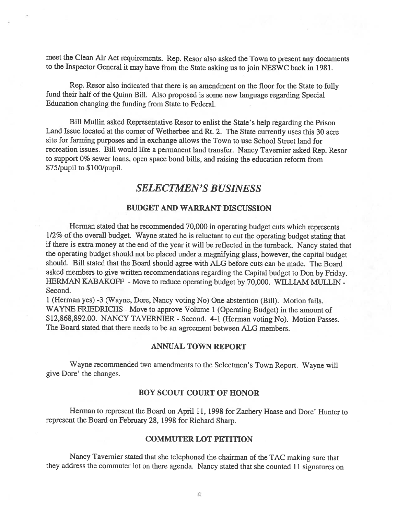meet the Clean Air Act requirements. Rep. Resor also asked the Town to presen<sup>t</sup> any documents to the Inspector General it may have from the State asking us to join NESWC back in 1981.

Rep. Resor also indicated that there is an amendment on the floor for the State to fully fund their half of the Quinn Bill. Also propose<sup>d</sup> is some new language regarding Special Education changing the funding from State to Federal.

Bill Mullin asked Representative Resor to enlist the State's help regarding the Prison Land Issue located at the corner of Wetherbee and Rt. 2. The State currently uses this <sup>30</sup> acre site for farming purposes and in exchange allows the Town to use School Street land for recreation issues. Bill would like <sup>a</sup> permanen<sup>t</sup> land transfer. Nancy Tavernier asked Rep. Resor to suppor<sup>t</sup> 0% sewer loans, open space bond bills, and raising the education reform from \$75/pupil to \$ 100/pupil.

# SELECTMEN'S BUSINESS

## BUDGET AND WARRANT DISCUSSION

Herman stated that he recommended 70,000 in operating budget cuts which represents 1/2% of the overall budget. Wayne stated he is reluctant to cut the operating budget stating that if there is extra money at the end of the year it will be reflected in the turnback. Nancy stated that the operating budget should not be <sup>p</sup>laced under <sup>a</sup> magnifying <sup>g</sup>lass, however, the capital budget should. Bill stated that the Board should agree with ALG before cuts can be made. The Board asked members to <sup>g</sup>ive written recommendations regarding the Capital budget to Don by Friday. HERMAN KABAKOFF - Move to reduce operating budget by 70,000. WILLIAM MULLIN -Second.

<sup>1</sup> (Herman yes) -3 (Wayne, Dore, Nancy voting No) One abstention (Bill). Motion fails. WAYNE FRIEDRICHS - Move to approve Volume 1 (Operating Budget) in the amount of \$12,868,892.00. NANCY TAVERNIER - Second. 4-1 (Herman voting No). Motion Passes. The Board stated that there needs to be an agreemen<sup>t</sup> between ALG members.

#### ANNUAL TOWN REPORT

Wayne recommended two amendments to the Selectmen's Town Report. Wayne will give Dore' the changes.

#### BOY SCOUT COURT OF HONOR

Herman to represen<sup>t</sup> the Board on April 11, <sup>1998</sup> for Zachery Haase and Dore' Hunter to represen<sup>t</sup> the Board on February 28, 1998 for Richard Sharp.

#### COMMUTER LOT PETITION

Nancy Tavernier stated that she telephoned the chairman of the TAC making sure that they address the commuter lot on there agenda. Nancy stated that she counted <sup>11</sup> signatures on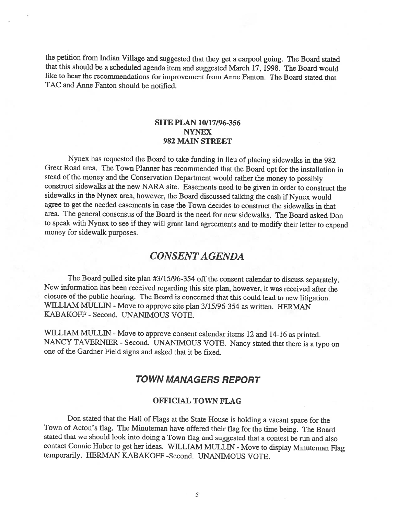the petition from Indian Village and suggested that they get <sup>a</sup> carpool going. The Board stated that this should be <sup>a</sup> scheduled agenda item and suggested March 17, 1998. The Board would like to hear the recommendations for improvement from Anne fanton. The Board stated that TAC and Anne Fanton should be notified.

## SITE PLAN 10/17/96-356 NYNEX 982 MAIN STREET

Nynex has requested the Board to take funding in lieu of <sup>p</sup>lacing sidewalks in the <sup>982</sup> Great Road area. The Town Planner has recommended that the Board opt for the installation in stead of the money and the Conservation Department would rather the money to possibly construct sidewalks at the new NARA site. Easements need to be <sup>g</sup>iven in order to construct the sidewalks in the Nynex area, however, the Board discussed talking the cash if Nynex would agree to get the needed easements in case the Town decides to construct the sidewalks in that area. The general consensus of the Board is the need for new sidewalks. The Board asked Don to speak with Nynex to see if they will grant land agreements and to modify their letter to expend money for sidewalk purposes.

# CONSENT AGENDA

The Board pulled site <sup>p</sup>lan #3/15/96-354 off the consent calendar to discuss separately. New information has been received regarding this site <sup>p</sup>lan, however, it was received after the closure of the public hearing. The Board is concerned that this could lead to new litigation. WILLIAM MULLIN - Move to approve site plan 3/15/96-354 as written. HERMAN KABAKOFF -Second. UNANIMOUS VOTE.

WILLIAM MULLIN - Move to approve consent calendar items 12 and 14-16 as printed. NANCY TAVERNIER - Second. UNANIMOUS VOTE. Nancy stated that there is a typo on one of the Gardner Field signs and asked that it be fixed.

## TOWN MANAGERS REPORT

#### OFFICIAL TOWN FLAG

Don stated that the Hall of Flags at the State House is holding <sup>a</sup> vacant space for the Town of Acton's flag. The Minuteman have offered their flag for the time being. The Board stated that we should look into doing <sup>a</sup> Town flag and suggested that <sup>a</sup> contest be run and also contact Connie Huber to get her ideas. WILLIAM MULLIN - Move to display Minuteman Flag temporarily. HERMAN KABAKOFF -Second. UNANIMOUS VOTE.